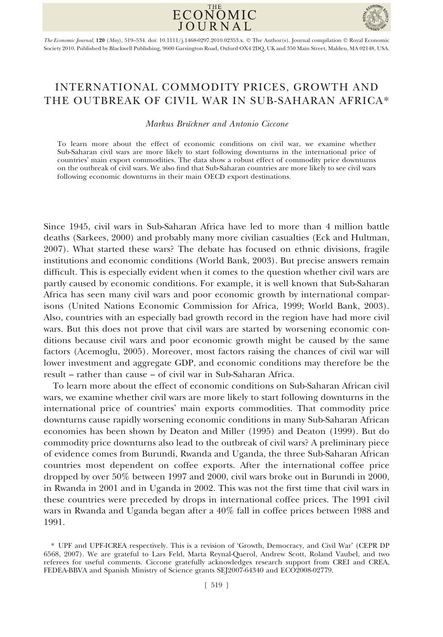



The Economic Journal, 120 (May), 519–534. doi: 10.1111/j.1468-0297.2010.02353.x. © The Author(s). Journal compilation © Royal Economic Society 2010. Published by Blackwell Publishing, 9600 Garsington Road, Oxford OX4 2DQ, UK and 350 Main Street, Malden, MA 02148, USA.

# INTERNATIONAL COMMODITY PRICES, GROWTH AND THE OUTBREAK OF CIVIL WAR IN SUB-SAHARAN AFRICA\*

## Markus Bruckner and Antonio Ciccone

To learn more about the effect of economic conditions on civil war, we examine whether Sub-Saharan civil wars are more likely to start following downturns in the international price of countries' main export commodities. The data show a robust effect of commodity price downturns on the outbreak of civil wars. We also find that Sub-Saharan countries are more likely to see civil wars following economic downturns in their main OECD export destinations.

Since 1945, civil wars in Sub-Saharan Africa have led to more than 4 million battle deaths (Sarkees, 2000) and probably many more civilian casualties (Eck and Hultman, 2007). What started these wars? The debate has focused on ethnic divisions, fragile institutions and economic conditions (World Bank, 2003). But precise answers remain difficult. This is especially evident when it comes to the question whether civil wars are partly caused by economic conditions. For example, it is well known that Sub-Saharan Africa has seen many civil wars and poor economic growth by international comparisons (United Nations Economic Commission for Africa, 1999; World Bank, 2003). Also, countries with an especially bad growth record in the region have had more civil wars. But this does not prove that civil wars are started by worsening economic conditions because civil wars and poor economic growth might be caused by the same factors (Acemoglu, 2005). Moreover, most factors raising the chances of civil war will lower investment and aggregate GDP, and economic conditions may therefore be the result – rather than cause – of civil war in Sub-Saharan Africa.

To learn more about the effect of economic conditions on Sub-Saharan African civil wars, we examine whether civil wars are more likely to start following downturns in the international price of countries' main exports commodities. That commodity price downturns cause rapidly worsening economic conditions in many Sub-Saharan African economies has been shown by Deaton and Miller (1995) and Deaton (1999). But do commodity price downturns also lead to the outbreak of civil wars? A preliminary piece of evidence comes from Burundi, Rwanda and Uganda, the three Sub-Saharan African countries most dependent on coffee exports. After the international coffee price dropped by over 50% between 1997 and 2000, civil wars broke out in Burundi in 2000, in Rwanda in 2001 and in Uganda in 2002. This was not the first time that civil wars in these countries were preceded by drops in international coffee prices. The 1991 civil wars in Rwanda and Uganda began after a 40% fall in coffee prices between 1988 and 1991.

<sup>\*</sup> UPF and UPF-ICREA respectively. This is a revision of 'Growth, Democracy, and Civil War' (CEPR DP 6568, 2007). We are grateful to Lars Feld, Marta Reynal-Querol, Andrew Scott, Roland Vaubel, and two referees for useful comments. Ciccone gratefully acknowledges research support from CREI and CREA, FEDEA-BBVA and Spanish Ministry of Science grants SEJ2007-64340 and ECO2008-02779.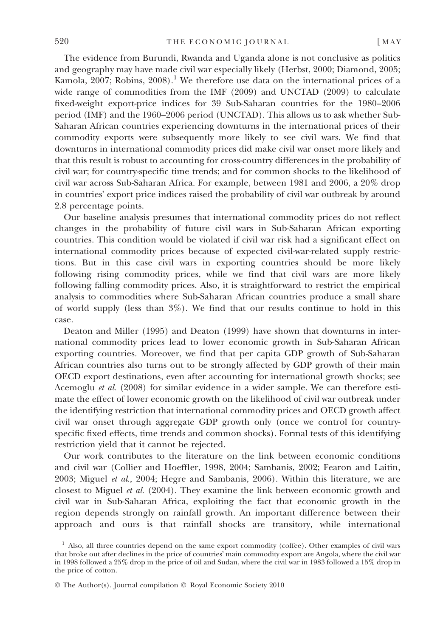The evidence from Burundi, Rwanda and Uganda alone is not conclusive as politics and geography may have made civil war especially likely (Herbst, 2000; Diamond, 2005; Kamola,  $2007$ ; Robins,  $2008$ ).<sup>1</sup> We therefore use data on the international prices of a wide range of commodities from the IMF (2009) and UNCTAD (2009) to calculate fixed-weight export-price indices for 39 Sub-Saharan countries for the 1980–2006 period (IMF) and the 1960–2006 period (UNCTAD). This allows us to ask whether Sub-Saharan African countries experiencing downturns in the international prices of their commodity exports were subsequently more likely to see civil wars. We find that downturns in international commodity prices did make civil war onset more likely and that this result is robust to accounting for cross-country differences in the probability of civil war; for country-specific time trends; and for common shocks to the likelihood of civil war across Sub-Saharan Africa. For example, between 1981 and 2006, a 20% drop in countries' export price indices raised the probability of civil war outbreak by around 2.8 percentage points.

Our baseline analysis presumes that international commodity prices do not reflect changes in the probability of future civil wars in Sub-Saharan African exporting countries. This condition would be violated if civil war risk had a significant effect on international commodity prices because of expected civil-war-related supply restrictions. But in this case civil wars in exporting countries should be more likely following rising commodity prices, while we find that civil wars are more likely following falling commodity prices. Also, it is straightforward to restrict the empirical analysis to commodities where Sub-Saharan African countries produce a small share of world supply (less than 3%). We find that our results continue to hold in this case.

Deaton and Miller (1995) and Deaton (1999) have shown that downturns in international commodity prices lead to lower economic growth in Sub-Saharan African exporting countries. Moreover, we find that per capita GDP growth of Sub-Saharan African countries also turns out to be strongly affected by GDP growth of their main OECD export destinations, even after accounting for international growth shocks; see Acemoglu et al. (2008) for similar evidence in a wider sample. We can therefore estimate the effect of lower economic growth on the likelihood of civil war outbreak under the identifying restriction that international commodity prices and OECD growth affect civil war onset through aggregate GDP growth only (once we control for countryspecific fixed effects, time trends and common shocks). Formal tests of this identifying restriction yield that it cannot be rejected.

Our work contributes to the literature on the link between economic conditions and civil war (Collier and Hoeffler, 1998, 2004; Sambanis, 2002; Fearon and Laitin, 2003; Miguel et al., 2004; Hegre and Sambanis, 2006). Within this literature, we are closest to Miguel et al. (2004). They examine the link between economic growth and civil war in Sub-Saharan Africa, exploiting the fact that economic growth in the region depends strongly on rainfall growth. An important difference between their approach and ours is that rainfall shocks are transitory, while international

 $<sup>1</sup>$  Also, all three countries depend on the same export commodity (coffee). Other examples of civil wars</sup> that broke out after declines in the price of countries' main commodity export are Angola, where the civil war in 1998 followed a 25% drop in the price of oil and Sudan, where the civil war in 1983 followed a 15% drop in the price of cotton.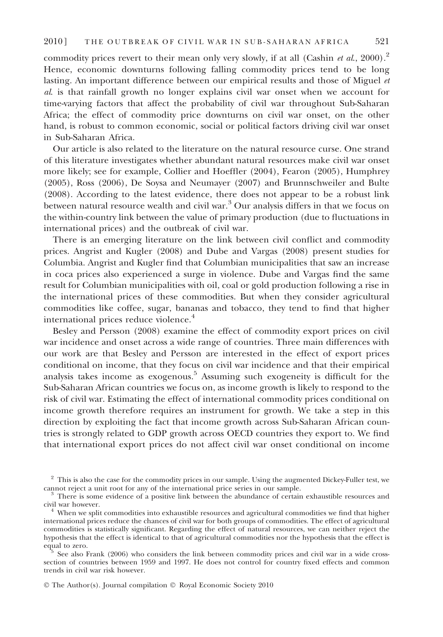commodity prices revert to their mean only very slowly, if at all (Cashin et al., 2000).<sup>2</sup> Hence, economic downturns following falling commodity prices tend to be long lasting. An important difference between our empirical results and those of Miguel et al. is that rainfall growth no longer explains civil war onset when we account for time-varying factors that affect the probability of civil war throughout Sub-Saharan Africa; the effect of commodity price downturns on civil war onset, on the other hand, is robust to common economic, social or political factors driving civil war onset in Sub-Saharan Africa.

Our article is also related to the literature on the natural resource curse. One strand of this literature investigates whether abundant natural resources make civil war onset more likely; see for example, Collier and Hoeffler (2004), Fearon (2005), Humphrey (2005), Ross (2006), De Soysa and Neumayer (2007) and Brunnschweiler and Bulte (2008). According to the latest evidence, there does not appear to be a robust link between natural resource wealth and civil war.<sup>3</sup> Our analysis differs in that we focus on the within-country link between the value of primary production (due to fluctuations in international prices) and the outbreak of civil war.

There is an emerging literature on the link between civil conflict and commodity prices. Angrist and Kugler (2008) and Dube and Vargas (2008) present studies for Columbia. Angrist and Kugler find that Columbian municipalities that saw an increase in coca prices also experienced a surge in violence. Dube and Vargas find the same result for Columbian municipalities with oil, coal or gold production following a rise in the international prices of these commodities. But when they consider agricultural commodities like coffee, sugar, bananas and tobacco, they tend to find that higher international prices reduce violence.<sup>4</sup>

Besley and Persson (2008) examine the effect of commodity export prices on civil war incidence and onset across a wide range of countries. Three main differences with our work are that Besley and Persson are interested in the effect of export prices conditional on income, that they focus on civil war incidence and that their empirical analysis takes income as exogenous.<sup>5</sup> Assuming such exogeneity is difficult for the Sub-Saharan African countries we focus on, as income growth is likely to respond to the risk of civil war. Estimating the effect of international commodity prices conditional on income growth therefore requires an instrument for growth. We take a step in this direction by exploiting the fact that income growth across Sub-Saharan African countries is strongly related to GDP growth across OECD countries they export to. We find that international export prices do not affect civil war onset conditional on income

 $2$  This is also the case for the commodity prices in our sample. Using the augmented Dickey-Fuller test, we cannot reject a unit root for any of the international price series in our sample.

 $\frac{3}{3}$  There is some evidence of a positive link between the abundance of certain exhaustible resources and civil war however.

 $4$  When we split commodities into exhaustible resources and agricultural commodities we find that higher international prices reduce the chances of civil war for both groups of commodities. The effect of agricultural commodities is statistically significant. Regarding the effect of natural resources, we can neither reject the hypothesis that the effect is identical to that of agricultural commodities nor the hypothesis that the effect is

<sup>&</sup>lt;sup>5</sup> See also Frank (2006) who considers the link between commodity prices and civil war in a wide crosssection of countries between 1959 and 1997. He does not control for country fixed effects and common trends in civil war risk however.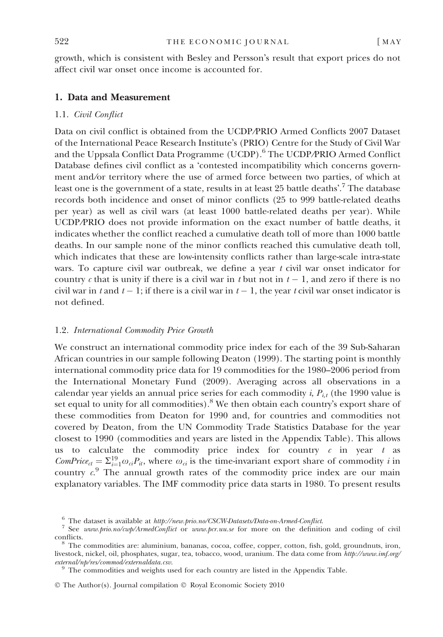growth, which is consistent with Besley and Persson's result that export prices do not affect civil war onset once income is accounted for.

## 1. Data and Measurement

## 1.1. Civil Conflict

Data on civil conflict is obtained from the UCDP⁄PRIO Armed Conflicts 2007 Dataset of the International Peace Research Institute's (PRIO) Centre for the Study of Civil War and the Uppsala Conflict Data Programme (UCDP).<sup>6</sup> The UCDP/PRIO Armed Conflict Database defines civil conflict as a 'contested incompatibility which concerns government and/or territory where the use of armed force between two parties, of which at least one is the government of a state, results in at least  $25$  battle deaths'.  $^7$  The database records both incidence and onset of minor conflicts (25 to 999 battle-related deaths per year) as well as civil wars (at least 1000 battle-related deaths per year). While UCDP/PRIO does not provide information on the exact number of battle deaths, it indicates whether the conflict reached a cumulative death toll of more than 1000 battle deaths. In our sample none of the minor conflicts reached this cumulative death toll, which indicates that these are low-intensity conflicts rather than large-scale intra-state wars. To capture civil war outbreak, we define a year  $t$  civil war onset indicator for country c that is unity if there is a civil war in t but not in  $t-1$ , and zero if there is no civil war in t and  $t-1$ ; if there is a civil war in  $t-1$ , the year t civil war onset indicator is not defined.

#### 1.2. International Commodity Price Growth

We construct an international commodity price index for each of the 39 Sub-Saharan African countries in our sample following Deaton (1999). The starting point is monthly international commodity price data for 19 commodities for the 1980–2006 period from the International Monetary Fund (2009). Averaging across all observations in a calendar year yields an annual price series for each commodity i,  $P_{i,t}$  (the 1990 value is set equal to unity for all commodities). $^8$  We then obtain each country's export share of these commodities from Deaton for 1990 and, for countries and commodities not covered by Deaton, from the UN Commodity Trade Statistics Database for the year closest to 1990 (commodities and years are listed in the Appendix Table). This allows us to calculate the commodity price index for country  $c$  in year  $t$  as ComPrice<sub>ct</sub> =  $\Sigma_{i=1}^{19} \omega_{ci} P_{it}$ , where  $\omega_{ci}$  is the time-invariant export share of commodity *i* in country  $c^9$ . The annual growth rates of the commodity price index are our main explanatory variables. The IMF commodity price data starts in 1980. To present results

<sup>&</sup>lt;sup>6</sup> The dataset is available at *http://new.prio.no/CSCW-Datasets/Data-on-Armed-Conflict.*<br><sup>7</sup> See *www.prio.no/cwp/ArmedConflict* or *www.pcr.uu.se* for more on the definition and coding of civil conflicts.

 $\delta$  The commodities are: aluminium, bananas, cocoa, coffee, copper, cotton, fish, gold, groundnuts, iron, livestock, nickel, oil, phosphates, sugar, tea, tobacco, wood, uranium. The data come from http://www.imf.org/<br>external/np/res/commod/externaldata.csv.

 $\frac{9}{9}$  The commodities and weights used for each country are listed in the Appendix Table.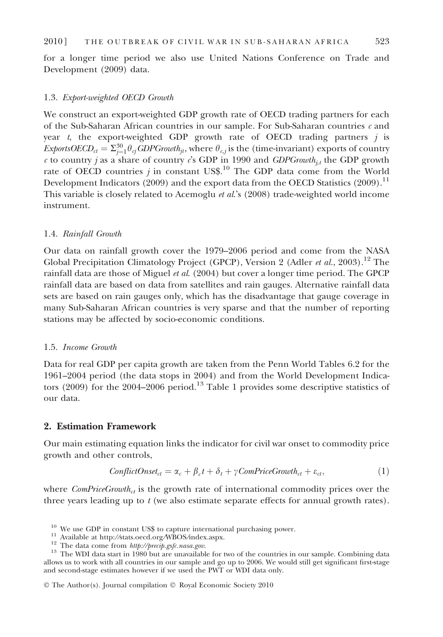for a longer time period we also use United Nations Conference on Trade and Development (2009) data.

## 1.3. Export-weighted OECD Growth

We construct an export-weighted GDP growth rate of OECD trading partners for each of the Sub-Saharan African countries in our sample. For Sub-Saharan countries  $c$  and year t, the export-weighted GDP growth rate of OECD trading partners  $j$  is ExportsOECD $_{ct}=\Sigma_{j=1}^{30}\theta_{cj}$ GDPGrowth $_{jt},$  where  $\theta_{c,j}$  is the (time-invariant) exports of country c to country j as a share of country cs GDP in 1990 and GDPGrowth<sub>j,t</sub> the GDP growth rate of OECD countries j in constant US\$.<sup>10</sup> The GDP data come from the World Development Indicators (2009) and the export data from the OECD Statistics (2009).<sup>11</sup> This variable is closely related to Acemoglu *et al.*'s (2008) trade-weighted world income instrument.

## 1.4. Rainfall Growth

Our data on rainfall growth cover the 1979–2006 period and come from the NASA Global Precipitation Climatology Project (GPCP), Version 2 (Adler et al., 2003).<sup>12</sup> The rainfall data are those of Miguel et al.  $(2004)$  but cover a longer time period. The GPCP rainfall data are based on data from satellites and rain gauges. Alternative rainfall data sets are based on rain gauges only, which has the disadvantage that gauge coverage in many Sub-Saharan African countries is very sparse and that the number of reporting stations may be affected by socio-economic conditions.

## 1.5. Income Growth

Data for real GDP per capita growth are taken from the Penn World Tables 6.2 for the 1961–2004 period (the data stops in 2004) and from the World Development Indicators (2009) for the 2004–2006 period.<sup>13</sup> Table 1 provides some descriptive statistics of our data.

## 2. Estimation Framework

Our main estimating equation links the indicator for civil war onset to commodity price growth and other controls,

$$
ConflictOnset_{ct} = \alpha_c + \beta_c t + \delta_t + \gamma ComPriceGrowth_{ct} + \varepsilon_{ct},
$$
\n(1)

where  $ComPriceGrowth_{ct}$  is the growth rate of international commodity prices over the three years leading up to  $t$  (we also estimate separate effects for annual growth rates).

<sup>&</sup>lt;sup>10</sup> We use GDP in constant US\$ to capture international purchasing power.<br><sup>11</sup> Available at http://stats.oecd.org/WBOS/index.aspx.<br><sup>12</sup> The data come from *http://precip.gsfc.nasa.gov.*<br><sup>13</sup> The WDI data start in 1980 bu allows us to work with all countries in our sample and go up to 2006. We would still get significant first-stage and second-stage estimates however if we used the PWT or WDI data only.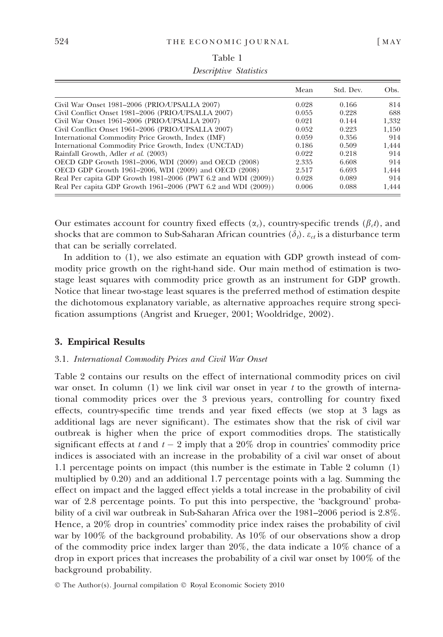|                                                               | Mean  | Std. Dev. | Obs.  |
|---------------------------------------------------------------|-------|-----------|-------|
| Civil War Onset 1981–2006 (PRIO/UPSALLA 2007)                 | 0.028 | 0.166     | 814   |
| Civil Conflict Onset 1981-2006 (PRIO/UPSALLA 2007)            | 0.055 | 0.228     | 688   |
| Civil War Onset 1961-2006 (PRIO/UPSALLA 2007)                 | 0.021 | 0.144     | 1.332 |
| Civil Conflict Onset 1961-2006 (PRIO/UPSALLA 2007)            | 0.052 | 0.223     | 1.150 |
| International Commodity Price Growth, Index (IMF)             | 0.059 | 0.356     | 914   |
| International Commodity Price Growth, Index (UNCTAD)          | 0.186 | 0.509     | 1.444 |
| Rainfall Growth, Adler et al. (2003)                          | 0.022 | 0.218     | 914   |
| OECD GDP Growth 1981–2006, WDI (2009) and OECD (2008)         | 2.335 | 6.608     | 914   |
| OECD GDP Growth 1961–2006, WDI (2009) and OECD (2008)         | 2.517 | 6.693     | 1.444 |
| Real Per capita GDP Growth 1981–2006 (PWT 6.2 and WDI (2009)) | 0.028 | 0.089     | 914   |
| Real Per capita GDP Growth 1961–2006 (PWT 6.2 and WDI (2009)) | 0.006 | 0.088     | 1.444 |

| Table 1                       |  |
|-------------------------------|--|
| <i>Descriptive Statistics</i> |  |

Our estimates account for country fixed effects ( $\alpha_c$ ), country-specific trends ( $\beta_c t$ ), and shocks that are common to Sub-Saharan African countries  $(\delta_t)$ .  $\varepsilon_{ct}$  is a disturbance term that can be serially correlated.

In addition to (1), we also estimate an equation with GDP growth instead of commodity price growth on the right-hand side. Our main method of estimation is twostage least squares with commodity price growth as an instrument for GDP growth. Notice that linear two-stage least squares is the preferred method of estimation despite the dichotomous explanatory variable, as alternative approaches require strong specification assumptions (Angrist and Krueger, 2001; Wooldridge, 2002).

## 3. Empirical Results

#### 3.1. International Commodity Prices and Civil War Onset

Table 2 contains our results on the effect of international commodity prices on civil war onset. In column  $(1)$  we link civil war onset in year t to the growth of international commodity prices over the 3 previous years, controlling for country fixed effects, country-specific time trends and year fixed effects (we stop at 3 lags as additional lags are never significant). The estimates show that the risk of civil war outbreak is higher when the price of export commodities drops. The statistically significant effects at  $t$  and  $t-2$  imply that a 20% drop in countries' commodity price indices is associated with an increase in the probability of a civil war onset of about 1.1 percentage points on impact (this number is the estimate in Table 2 column (1) multiplied by 0.20) and an additional 1.7 percentage points with a lag. Summing the effect on impact and the lagged effect yields a total increase in the probability of civil war of 2.8 percentage points. To put this into perspective, the 'background' probability of a civil war outbreak in Sub-Saharan Africa over the 1981–2006 period is 2.8%. Hence, a 20% drop in countries' commodity price index raises the probability of civil war by 100% of the background probability. As 10% of our observations show a drop of the commodity price index larger than 20%, the data indicate a 10% chance of a drop in export prices that increases the probability of a civil war onset by 100% of the background probability.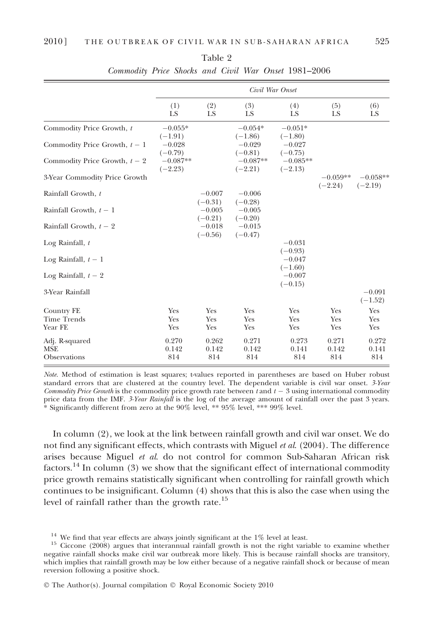|                                                            |                                                 |                       |                                                 | Civil War Onset                                 |                         |                         |
|------------------------------------------------------------|-------------------------------------------------|-----------------------|-------------------------------------------------|-------------------------------------------------|-------------------------|-------------------------|
|                                                            | (1)<br>LS                                       | (2)<br>LS             | (3)<br>LS                                       | (4)<br>LS                                       | (5)<br>LS               | (6)<br>LS               |
| Commodity Price Growth, t<br>Commodity Price Growth, $t-1$ | $-0.055*$<br>$(-1.91)$<br>$-0.028$<br>$(-0.79)$ |                       | $-0.054*$<br>$(-1.86)$<br>$-0.029$<br>$(-0.81)$ | $-0.051*$<br>$(-1.80)$<br>$-0.027$<br>$(-0.75)$ |                         |                         |
| Commodity Price Growth, $t - 2$                            | $-0.087**$<br>$(-2.23)$                         |                       | $-0.087**$<br>$(-2.21)$                         | $-0.085**$<br>$(-2.13)$                         |                         |                         |
| 3-Year Commodity Price Growth                              |                                                 |                       |                                                 |                                                 | $-0.059**$<br>$(-2.24)$ | $-0.058**$<br>$(-2.19)$ |
| Rainfall Growth, t                                         |                                                 | $-0.007$<br>$(-0.31)$ | $-0.006$<br>$(-0.28)$                           |                                                 |                         |                         |
| Rainfall Growth, $t-1$                                     |                                                 | $-0.005$<br>$(-0.21)$ | $-0.005$<br>$(-0.20)$                           |                                                 |                         |                         |
| Rainfall Growth, $t - 2$                                   |                                                 | $-0.018$<br>$(-0.56)$ | $-0.015$<br>$(-0.47)$                           |                                                 |                         |                         |
| Log Rainfall, $t$                                          |                                                 |                       |                                                 | $-0.031$<br>$(-0.93)$                           |                         |                         |
| Log Rainfall, $t-1$                                        |                                                 |                       |                                                 | $-0.047$                                        |                         |                         |
| Log Rainfall, $t-2$                                        |                                                 |                       |                                                 | $(-1.60)$<br>$-0.007$<br>$(-0.15)$              |                         |                         |
| 3-Year Rainfall                                            |                                                 |                       |                                                 |                                                 |                         | $-0.091$<br>$(-1.52)$   |
| Country FE<br><b>Time Trends</b><br>Year FE                | Yes<br>Yes<br>Yes                               | Yes<br>Yes<br>Yes     | Yes<br>Yes<br>Yes                               | Yes<br>Yes<br>Yes                               | Yes<br>Yes<br>Yes       | Yes<br>Yes<br>Yes       |
| Adj. R-squared<br><b>MSE</b><br>Observations               | 0.270<br>0.142<br>814                           | 0.262<br>0.142<br>814 | 0.271<br>0.142<br>814                           | 0.273<br>0.141<br>814                           | 0.271<br>0.142<br>814   | 0.272<br>0.141<br>814   |

Table 2 Commodity Price Shocks and Civil War Onset 1981–2006

Note. Method of estimation is least squares; t-values reported in parentheses are based on Huber robust standard errors that are clustered at the country level. The dependent variable is civil war onset. 3-Year Commodity Price Growth is the commodity price growth rate between  $t$  and  $t-3$  using international commodity price data from the IMF. 3-Year Rainfall is the log of the average amount of rainfall over the past 3 years. \* Significantly different from zero at the 90% level, \*\* 95% level, \*\*\* 99% level.

In column (2), we look at the link between rainfall growth and civil war onset. We do not find any significant effects, which contrasts with Miguel et al. (2004). The difference arises because Miguel et al. do not control for common Sub-Saharan African risk factors.<sup>14</sup> In column (3) we show that the significant effect of international commodity price growth remains statistically significant when controlling for rainfall growth which continues to be insignificant. Column (4) shows that this is also the case when using the level of rainfall rather than the growth rate.<sup>15</sup>

<sup>&</sup>lt;sup>14</sup> We find that year effects are always jointly significant at the  $1\%$  level at least. <sup>15</sup> Ciccone (2008) argues that interannual rainfall growth is not the right variable to examine whether negative rainfall shocks make civil war outbreak more likely. This is because rainfall shocks are transitory, which implies that rainfall growth may be low either because of a negative rainfall shock or because of mean reversion following a positive shock.

<sup>©</sup> The Author(s). Journal compilation © Royal Economic Society 2010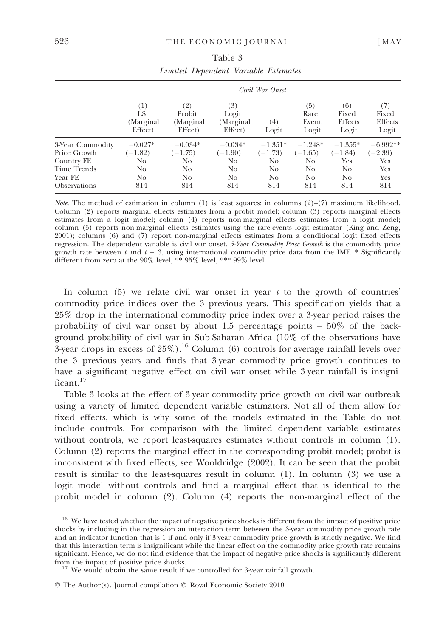|                     |                 | Civil War Onset     |                    |                |               |                         |                  |  |  |
|---------------------|-----------------|---------------------|--------------------|----------------|---------------|-------------------------|------------------|--|--|
|                     | (1)             | (2)                 | (3)                |                | (5)           | (6)                     | (7)              |  |  |
|                     | LS<br>(Marginal | Probit<br>(Marginal | Logit<br>(Marginal | (4)            | Rare<br>Event | Fixed<br><b>Effects</b> | Fixed<br>Effects |  |  |
|                     | Effect)         | Effect)             | Effect)            | Logit          | Logit         | Logit                   | Logit            |  |  |
| 3-Year Commodity    | $-0.027*$       | $-0.034*$           | $-0.034*$          | $-1.351*$      | $-1.248*$     | $-1.355*$               | $-6.992**$       |  |  |
| Price Growth        | $(-1.82)$       | $(-1.75)$           | $(-1.90)$          | $(-1.73)$      | $(-1.65)$     | $(-1.84)$               | $(-2.39)$        |  |  |
| Country FE          | No              | No                  | No                 | N <sub>o</sub> | No            | Yes                     | Yes              |  |  |
| Time Trends         | No              | No                  | No                 | No.            | No            | No.                     | Yes              |  |  |
| Year FE             | No              | No                  | N <sub>o</sub>     | No.            | No            | N <sub>o</sub>          | Yes              |  |  |
| <b>Observations</b> | 814             | 814                 | 814                | 814            | 814           | 814                     | 814              |  |  |

| Table 3 |                                      |  |  |  |  |  |  |
|---------|--------------------------------------|--|--|--|--|--|--|
|         | Limited Dependent Variable Estimates |  |  |  |  |  |  |

*Note.* The method of estimation in column (1) is least squares; in columns  $(2)-(7)$  maximum likelihood. Column (2) reports marginal effects estimates from a probit model; column (3) reports marginal effects estimates from a logit model; column (4) reports non-marginal effects estimates from a logit model; column (5) reports non-marginal effects estimates using the rare-events logit estimator (King and Zeng, 2001); columns (6) and (7) report non-marginal effects estimates from a conditional logit fixed effects regression. The dependent variable is civil war onset. 3-Year Commodity Price Growth is the commodity price growth rate between  $t$  and  $t-3$ , using international commodity price data from the IMF.  $^*$  Significantly different from zero at the 90% level, \*\* 95% level, \*\*\* 99% level.

In column  $(5)$  we relate civil war onset in year t to the growth of countries' commodity price indices over the 3 previous years. This specification yields that a 25% drop in the international commodity price index over a 3-year period raises the probability of civil war onset by about 1.5 percentage points – 50% of the background probability of civil war in Sub-Saharan Africa (10% of the observations have  $3$ -year drops in excess of  $25\%$ ).<sup>16</sup> Column (6) controls for average rainfall levels over the 3 previous years and finds that 3-year commodity price growth continues to have a significant negative effect on civil war onset while 3-year rainfall is insignificant.<sup>17</sup>

Table 3 looks at the effect of 3-year commodity price growth on civil war outbreak using a variety of limited dependent variable estimators. Not all of them allow for fixed effects, which is why some of the models estimated in the Table do not include controls. For comparison with the limited dependent variable estimates without controls, we report least-squares estimates without controls in column (1). Column (2) reports the marginal effect in the corresponding probit model; probit is inconsistent with fixed effects, see Wooldridge (2002). It can be seen that the probit result is similar to the least-squares result in column (1). In column (3) we use a logit model without controls and find a marginal effect that is identical to the probit model in column (2). Column (4) reports the non-marginal effect of the

<sup>&</sup>lt;sup>16</sup> We have tested whether the impact of negative price shocks is different from the impact of positive price shocks by including in the regression an interaction term between the 3-year commodity price growth rate and an indicator function that is 1 if and only if 3-year commodity price growth is strictly negative. We find that this interaction term is insignificant while the linear effect on the commodity price growth rate remains significant. Hence, we do not find evidence that the impact of negative price shocks is significantly different

<sup>&</sup>lt;sup>7</sup> We would obtain the same result if we controlled for 3-year rainfall growth.

<sup>©</sup> The Author(s). Journal compilation © Royal Economic Society 2010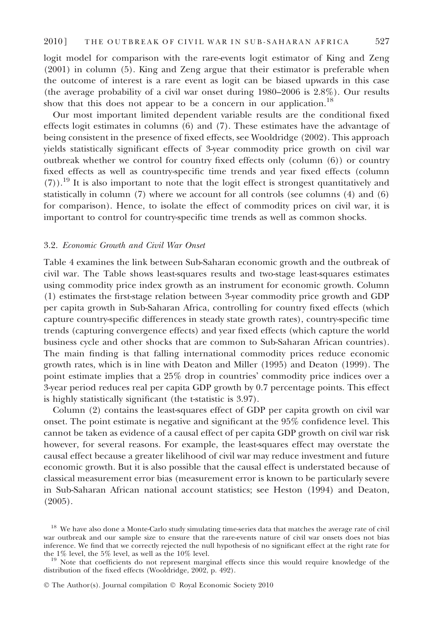logit model for comparison with the rare-events logit estimator of King and Zeng (2001) in column (5). King and Zeng argue that their estimator is preferable when the outcome of interest is a rare event as logit can be biased upwards in this case (the average probability of a civil war onset during 1980–2006 is 2.8%). Our results show that this does not appear to be a concern in our application.<sup>18</sup>

Our most important limited dependent variable results are the conditional fixed effects logit estimates in columns (6) and (7). These estimates have the advantage of being consistent in the presence of fixed effects, see Wooldridge (2002). This approach yields statistically significant effects of 3-year commodity price growth on civil war outbreak whether we control for country fixed effects only (column (6)) or country fixed effects as well as country-specific time trends and year fixed effects (column  $(7)$ ).<sup>19</sup> It is also important to note that the logit effect is strongest quantitatively and statistically in column (7) where we account for all controls (see columns (4) and (6) for comparison). Hence, to isolate the effect of commodity prices on civil war, it is important to control for country-specific time trends as well as common shocks.

## 3.2. Economic Growth and Civil War Onset

Table 4 examines the link between Sub-Saharan economic growth and the outbreak of civil war. The Table shows least-squares results and two-stage least-squares estimates using commodity price index growth as an instrument for economic growth. Column (1) estimates the first-stage relation between 3-year commodity price growth and GDP per capita growth in Sub-Saharan Africa, controlling for country fixed effects (which capture country-specific differences in steady state growth rates), country-specific time trends (capturing convergence effects) and year fixed effects (which capture the world business cycle and other shocks that are common to Sub-Saharan African countries). The main finding is that falling international commodity prices reduce economic growth rates, which is in line with Deaton and Miller (1995) and Deaton (1999). The point estimate implies that a 25% drop in countries' commodity price indices over a 3-year period reduces real per capita GDP growth by 0.7 percentage points. This effect is highly statistically significant (the t-statistic is 3.97).

Column (2) contains the least-squares effect of GDP per capita growth on civil war onset. The point estimate is negative and significant at the 95% confidence level. This cannot be taken as evidence of a causal effect of per capita GDP growth on civil war risk however, for several reasons. For example, the least-squares effect may overstate the causal effect because a greater likelihood of civil war may reduce investment and future economic growth. But it is also possible that the causal effect is understated because of classical measurement error bias (measurement error is known to be particularly severe in Sub-Saharan African national account statistics; see Heston (1994) and Deaton, (2005).

<sup>&</sup>lt;sup>18</sup> We have also done a Monte-Carlo study simulating time-series data that matches the average rate of civil war outbreak and our sample size to ensure that the rare-events nature of civil war onsets does not bias inference. We find that we correctly rejected the null hypothesis of no significant effect at the right rate for the  $1\%$  level, the  $5\%$  level, as well as the  $10\%$  level.

 $19$  Note that coefficients do not represent marginal effects since this would require knowledge of the distribution of the fixed effects (Wooldridge, 2002, p. 492).

<sup>©</sup> The Author(s). Journal compilation © Royal Economic Society 2010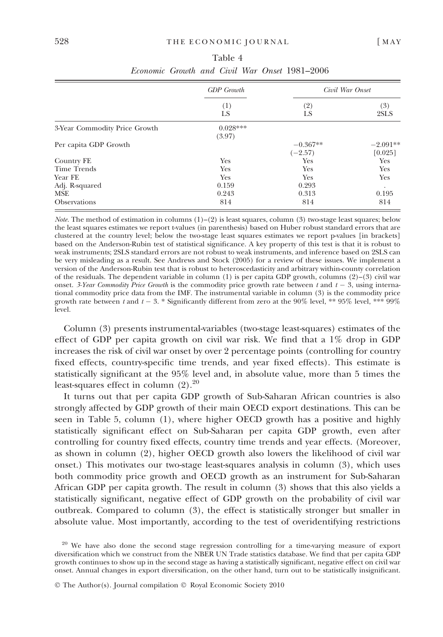|                               | <b>GDP</b> Growth    |                         | Civil War Onset       |
|-------------------------------|----------------------|-------------------------|-----------------------|
|                               | (1)<br>LS            | (2)<br>LS               | (3)<br>2SLS           |
| 3-Year Commodity Price Growth | $0.028***$<br>(3.97) |                         |                       |
| Per capita GDP Growth         |                      | $-0.367**$<br>$(-2.57)$ | $-2.091**$<br>[0.025] |
| Country FE                    | Yes                  | Yes                     | Yes                   |
| Time Trends                   | Yes                  | Yes                     | Yes                   |
| Year FE                       | Yes                  | Yes                     | Yes                   |
| Adj. R-squared                | 0.159                | 0.293                   | ٠                     |
| <b>MSE</b>                    | 0.243                | 0.313                   | 0.195                 |
| <b>Observations</b>           | 814                  | 814                     | 814                   |

| Table 4 |  |  |  |  |  |                                                      |  |
|---------|--|--|--|--|--|------------------------------------------------------|--|
|         |  |  |  |  |  | <i>Economic Growth and Civil War Onset</i> 1981–2006 |  |

*Note.* The method of estimation in columns  $(1)$ – $(2)$  is least squares, column  $(3)$  two-stage least squares; below the least squares estimates we report t-values (in parenthesis) based on Huber robust standard errors that are clustered at the country level; below the two-stage least squares estimates we report p-values [in brackets] based on the Anderson-Rubin test of statistical significance. A key property of this test is that it is robust to weak instruments; 2SLS standard errors are not robust to weak instruments, and inference based on 2SLS can be very misleading as a result. See Andrews and Stock (2005) for a review of these issues. We implement a version of the Anderson-Rubin test that is robust to heteroscedasticity and arbitrary within-county correlation of the residuals. The dependent variable in column (1) is per capita GDP growth, columns (2)–(3) civil war onset. 3-Year Commodity Price Growth is the commodity price growth rate between t and  $t-3$ , using international commodity price data from the IMF. The instrumental variable in column (3) is the commodity price growth rate between  $t$  and  $t$  – 3.  $^*$  Significantly different from zero at the 90% level,  $^{**}$  95% level,  $^{***}$  99% level.

Column (3) presents instrumental-variables (two-stage least-squares) estimates of the effect of GDP per capita growth on civil war risk. We find that a 1% drop in GDP increases the risk of civil war onset by over 2 percentage points (controlling for country fixed effects, country-specific time trends, and year fixed effects). This estimate is statistically significant at the 95% level and, in absolute value, more than 5 times the least-squares effect in column  $(2).^{20}$ 

It turns out that per capita GDP growth of Sub-Saharan African countries is also strongly affected by GDP growth of their main OECD export destinations. This can be seen in Table 5, column (1), where higher OECD growth has a positive and highly statistically significant effect on Sub-Saharan per capita GDP growth, even after controlling for country fixed effects, country time trends and year effects. (Moreover, as shown in column (2), higher OECD growth also lowers the likelihood of civil war onset.) This motivates our two-stage least-squares analysis in column (3), which uses both commodity price growth and OECD growth as an instrument for Sub-Saharan African GDP per capita growth. The result in column (3) shows that this also yields a statistically significant, negative effect of GDP growth on the probability of civil war outbreak. Compared to column (3), the effect is statistically stronger but smaller in absolute value. Most importantly, according to the test of overidentifying restrictions

<sup>&</sup>lt;sup>20</sup> We have also done the second stage regression controlling for a time-varying measure of export diversification which we construct from the NBER UN Trade statistics database. We find that per capita GDP growth continues to show up in the second stage as having a statistically significant, negative effect on civil war onset. Annual changes in export diversification, on the other hand, turn out to be statistically insignificant.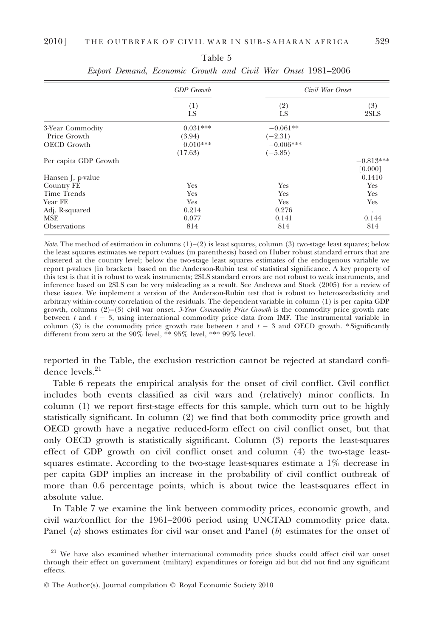|                       | <b>GDP</b> Growth | Civil War Onset |             |  |
|-----------------------|-------------------|-----------------|-------------|--|
|                       | (1)<br>LS         | (2)<br>LS       | (3)<br>2SLS |  |
| 3-Year Commodity      | $0.031***$        | $-0.061**$      |             |  |
| Price Growth          | (3.94)            | $(-2.31)$       |             |  |
| <b>OECD</b> Growth    | $0.010***$        | $-0.006***$     |             |  |
|                       | (17.63)           | $(-5.85)$       |             |  |
| Per capita GDP Growth |                   |                 | $-0.813***$ |  |
|                       |                   |                 | [0.000]     |  |
| Hansen J, p-value     |                   |                 | 0.1410      |  |
| Country FE            | Yes               | Yes             | Yes         |  |
| <b>Time Trends</b>    | Yes               | Yes             | Yes         |  |
| Year FE               | Yes               | Yes             | Yes         |  |
| Adj. R-squared        | 0.214             | 0.276           | $\bullet$   |  |
| MSE                   | 0.077             | 0.141           | 0.144       |  |
| <b>Observations</b>   | 814               | 814             | 814         |  |

| Table 5 |  |                                                              |  |  |  |  |  |  |  |
|---------|--|--------------------------------------------------------------|--|--|--|--|--|--|--|
|         |  | Export Demand, Economic Growth and Civil War Onset 1981–2006 |  |  |  |  |  |  |  |

*Note.* The method of estimation in columns  $(1)-(2)$  is least squares, column (3) two-stage least squares; below the least squares estimates we report t-values (in parenthesis) based on Huber robust standard errors that are clustered at the country level; below the two-stage least squares estimates of the endogenous variable we report p-values [in brackets] based on the Anderson-Rubin test of statistical significance. A key property of this test is that it is robust to weak instruments; 2SLS standard errors are not robust to weak instruments, and inference based on 2SLS can be very misleading as a result. See Andrews and Stock (2005) for a review of these issues. We implement a version of the Anderson-Rubin test that is robust to heteroscedasticity and arbitrary within-county correlation of the residuals. The dependent variable in column (1) is per capita GDP growth, columns  $(2)-(3)$  civil war onset. 3-Year Commodity Price Growth is the commodity price growth rate between  $t$  and  $t - 3$ , using international commodity price data from IMF. The instrumental variable in column (3) is the commodity price growth rate between t and  $t - 3$  and OECD growth. \* Significantly different from zero at the 90% level, \*\* 95% level, \*\*\* 99% level.

reported in the Table, the exclusion restriction cannot be rejected at standard confidence levels.<sup>21</sup>

Table 6 repeats the empirical analysis for the onset of civil conflict. Civil conflict includes both events classified as civil wars and (relatively) minor conflicts. In column (1) we report first-stage effects for this sample, which turn out to be highly statistically significant. In column (2) we find that both commodity price growth and OECD growth have a negative reduced-form effect on civil conflict onset, but that only OECD growth is statistically significant. Column (3) reports the least-squares effect of GDP growth on civil conflict onset and column (4) the two-stage leastsquares estimate. According to the two-stage least-squares estimate a 1% decrease in per capita GDP implies an increase in the probability of civil conflict outbreak of more than 0.6 percentage points, which is about twice the least-squares effect in absolute value.

In Table 7 we examine the link between commodity prices, economic growth, and civil war⁄conflict for the 1961–2006 period using UNCTAD commodity price data. Panel (a) shows estimates for civil war onset and Panel (b) estimates for the onset of

<sup>&</sup>lt;sup>21</sup> We have also examined whether international commodity price shocks could affect civil war onset through their effect on government (military) expenditures or foreign aid but did not find any significant effects.

<sup>©</sup> The Author(s). Journal compilation © Royal Economic Society 2010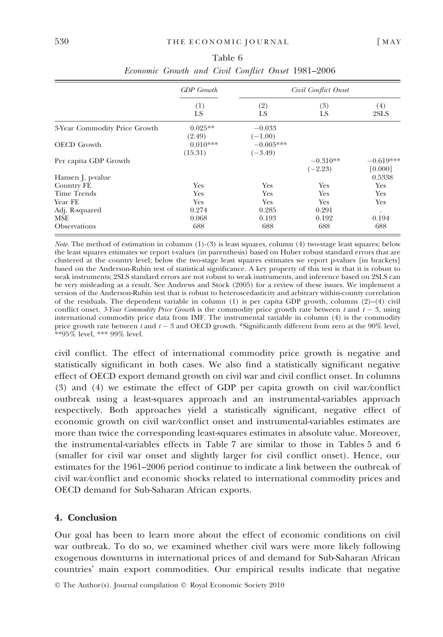|                               | <b>GDP</b> Growth     |                          | Civil Conflict Onset    |                        |
|-------------------------------|-----------------------|--------------------------|-------------------------|------------------------|
|                               | (1)<br>LS             | (2)<br>LS                | (3)<br>LS               | (4)<br>2SLS            |
| 3-Year Commodity Price Growth | $0.025**$<br>(2.49)   | $-0.033$<br>$(-1.00)$    |                         |                        |
| <b>OECD</b> Growth            | $0.010***$<br>(15.31) | $-0.005***$<br>$(-3.49)$ |                         |                        |
| Per capita GDP Growth         |                       |                          | $-0.310**$<br>$(-2.23)$ | $-0.619***$<br>[0.000] |
| Hansen J, p-value             |                       |                          |                         | 0.5338                 |
| Country FE                    | Yes                   | Yes                      | Yes                     | Yes                    |
| Time Trends                   | Yes                   | Yes                      | Yes                     | Yes                    |
| Year FE                       | Yes                   | Yes                      | Yes                     | Yes                    |
| Adj. R-squared                | 0.274                 | 0.285                    | 0.291                   | $\cdot$                |
| MSE                           | 0.068                 | 0.193                    | 0.192                   | 0.194                  |
| <b>Observations</b>           | 688                   | 688                      | 688                     | 688                    |

| Table 6 |  |  |  |  |  |                                                    |
|---------|--|--|--|--|--|----------------------------------------------------|
|         |  |  |  |  |  | Economic Growth and Civil Conflict Onset 1981-2006 |

Note. The method of estimation in columns (1)-(3) is least squares, column (4) two-stage least squares; below the least squares estimates we report t-values (in parenthesis) based on Huber robust standard errors that are clustered at the country level; below the two-stage least squares estimates we report p-values [in brackets] based on the Anderson-Rubin test of statistical significance. A key property of this test is that it is robust to weak instruments; 2SLS standard errors are not robust to weak instruments, and inference based on 2SLS can be very misleading as a result. See Andrews and Stock (2005) for a review of these issues. We implement a version of the Anderson-Rubin test that is robust to heteroscedasticity and arbitrary within-county correlation of the residuals. The dependent variable in column  $(1)$  is per capita GDP growth, columns  $(2)-(4)$  civil conflict onset. 3-Year Commodity Price Growth is the commodity price growth rate between  $t$  and  $t - 3$ , using international commodity price data from IMF. The instrumental variable in column (4) is the commodity price growth rate between  $t$  and  $t-3$  and OECD growth. \*Significantly different from zero at the  $90\%$  level,  $*$ \*95% level, \*\*\* 99% level.

civil conflict. The effect of international commodity price growth is negative and statistically significant in both cases. We also find a statistically significant negative effect of OECD export demand growth on civil war and civil conflict onset. In columns (3) and (4) we estimate the effect of GDP per capita growth on civil war⁄conflict outbreak using a least-squares approach and an instrumental-variables approach respectively. Both approaches yield a statistically significant, negative effect of economic growth on civil war⁄conflict onset and instrumental-variables estimates are more than twice the corresponding least-squares estimates in absolute value. Moreover, the instrumental-variables effects in Table 7 are similar to those in Tables 5 and 6 (smaller for civil war onset and slightly larger for civil conflict onset). Hence, our estimates for the 1961–2006 period continue to indicate a link between the outbreak of civil war⁄conflict and economic shocks related to international commodity prices and OECD demand for Sub-Saharan African exports.

## 4. Conclusion

Our goal has been to learn more about the effect of economic conditions on civil war outbreak. To do so, we examined whether civil wars were more likely following exogenous downturns in international prices of and demand for Sub-Saharan African countries' main export commodities. Our empirical results indicate that negative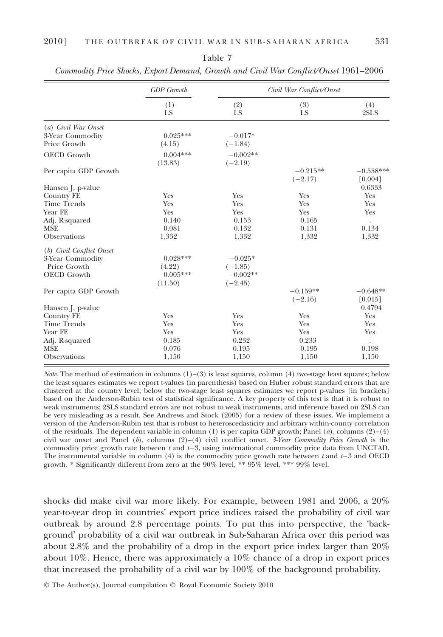|                          | <b>GDP</b> Growth     |                         | Civil War Conflict/Onset |                        |  |  |
|--------------------------|-----------------------|-------------------------|--------------------------|------------------------|--|--|
|                          | (1)<br>LS             | (2)<br>LS               | (3)<br>LS                | (4)<br>2SLS            |  |  |
| (a) Civil War Onset      |                       |                         |                          |                        |  |  |
| 3-Year Commodity         | $0.025***$            | $-0.017*$               |                          |                        |  |  |
| Price Growth             | (4.15)                | $(-1.84)$               |                          |                        |  |  |
| <b>OECD</b> Growth       | $0.004***$<br>(13.83) | $-0.002**$<br>$(-2.19)$ |                          |                        |  |  |
| Per capita GDP Growth    |                       |                         | $-0.215**$<br>$(-2.17)$  | $-0.558***$<br>[0.004] |  |  |
| Hansen J, p-value        |                       |                         |                          | 0.6333                 |  |  |
| Country FE               | Yes                   | Yes                     | Yes                      | Yes                    |  |  |
| <b>Time Trends</b>       | Yes                   | Yes                     | Yes                      | Yes                    |  |  |
| Year FE                  | Yes                   | Yes                     | Yes                      | Yes                    |  |  |
| Adj. R-squared           | 0.140                 | 0.153                   | 0.165                    |                        |  |  |
| <b>MSE</b>               | 0.081                 | 0.132                   | 0.131                    | 0.134                  |  |  |
| Observations             | 1,332                 | 1,332                   | 1,332                    | 1,332                  |  |  |
| (b) Civil Conflict Onset |                       |                         |                          |                        |  |  |
| 3-Year Commodity         | $0.028***$            | $-0.025*$               |                          |                        |  |  |
| Price Growth             | (4.22)                | $(-1.85)$               |                          |                        |  |  |
| <b>OECD</b> Growth       | $0.005***$            | $-0.002**$              |                          |                        |  |  |
|                          | (11.50)               | $(-2.45)$               |                          |                        |  |  |
| Per capita GDP Growth    |                       |                         | $-0.159**$               | $-0.648**$             |  |  |
|                          |                       |                         | $(-2.16)$                | [0.015]                |  |  |
| Hansen J, p-value        |                       |                         |                          | 0.4794                 |  |  |
| Country FE               | Yes                   | Yes                     | Yes                      | Yes                    |  |  |
| <b>Time Trends</b>       | Yes                   | Yes                     | Yes                      | Yes                    |  |  |
| Year FE                  | Yes                   | Yes                     | Yes                      | Yes                    |  |  |
| Adj. R-squared           | 0.185                 | 0.232                   | 0.233                    |                        |  |  |
| <b>MSE</b>               | 0.076                 | 0.195                   | 0.195                    | 0.198                  |  |  |
| Observations             | 1,150                 | 1,150                   | 1,150                    | 1,150                  |  |  |

Table 7 Commodity Price Shocks, Export Demand, Growth and Civil War Conflict/Onset 1961–2006

*Note.* The method of estimation in columns  $(1)$ – $(3)$  is least squares, column  $(4)$  two-stage least squares; below the least squares estimates we report t-values (in parenthesis) based on Huber robust standard errors that are clustered at the country level; below the two-stage least squares estimates we report p-values [in brackets] based on the Anderson-Rubin test of statistical significance. A key property of this test is that it is robust to weak instruments; 2SLS standard errors are not robust to weak instruments, and inference based on 2SLS can be very misleading as a result. See Andrews and Stock (2005) for a review of these issues. We implement a version of the Anderson-Rubin test that is robust to heteroscedasticity and arbitrary within-county correlation of the residuals. The dependent variable in column (1) is per capita GDP growth; Panel  $(a)$ , columns  $(2)$ – $(4)$ civil war onset and Panel (b), columns  $(2)-(4)$  civil conflict onset. 3-Year Commodity Price Growth is the commodity price growth rate between t and t-3, using international commodity price data from UNCTAD. The instrumental variable in column  $(4)$  is the commodity price growth rate between t and  $t-3$  and OECD growth. \* Significantly different from zero at the 90% level, \*\* 95% level, \*\*\* 99% level.

shocks did make civil war more likely. For example, between 1981 and 2006, a 20% year-to-year drop in countries' export price indices raised the probability of civil war outbreak by around 2.8 percentage points. To put this into perspective, the background' probability of a civil war outbreak in Sub-Saharan Africa over this period was about 2.8% and the probability of a drop in the export price index larger than 20% about 10%. Hence, there was approximately a 10% chance of a drop in export prices that increased the probability of a civil war by 100% of the background probability.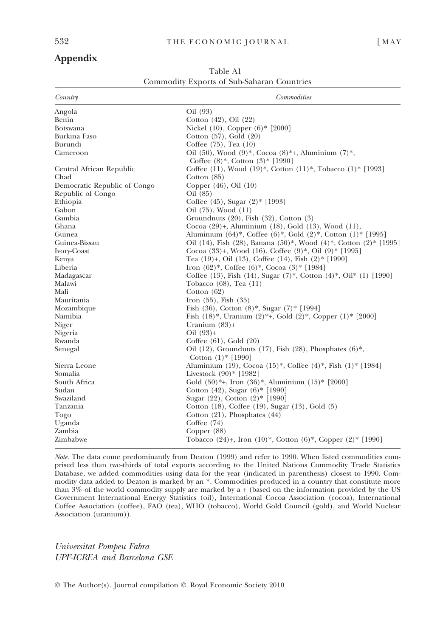## Appendix

| Country                          | <b>Commodities</b>                                                                                        |
|----------------------------------|-----------------------------------------------------------------------------------------------------------|
| Angola                           | Oil (93)                                                                                                  |
| Benin                            | Cotton $(42)$ , Oil $(22)$                                                                                |
| <b>Botswana</b>                  | Nickel (10), Copper (6)* [2000]                                                                           |
| Burkina Faso                     | Cotton (57), Gold (20)                                                                                    |
| Burundi                          | Coffee (75), Tea (10)                                                                                     |
| Cameroon                         | Oil (50), Wood (9)*, Cocoa (8)*+, Aluminium (7)*,<br>Coffee $(8)^*$ , Cotton $(3)^*$ [1990]               |
| Central African Republic<br>Chad | Coffee (11), Wood (19)*, Cotton (11)*, Tobacco (1)* [1993]<br>Cotton $(85)$                               |
| Democratic Republic of Congo     | Copper $(46)$ , Oil $(10)$                                                                                |
| Republic of Congo                | Oil (85)                                                                                                  |
| Ethiopia                         | Coffee $(45)$ , Sugar $(2)^*$ [1993]                                                                      |
| Gabon                            | Oil (75), Wood (11)                                                                                       |
| Gambia                           | Groundnuts $(20)$ , Fish $(32)$ , Cotton $(3)$                                                            |
| Ghana                            | Cocoa (29)+, Aluminium (18), Gold (13), Wood (11),                                                        |
| Guinea                           | Aluminium $(64)^*$ , Coffee $(6)^*$ , Gold $(2)^*$ , Cotton $(1)^*$ [1995]                                |
| Guinea-Bissau                    | Oil (14), Fish (28), Banana (50)*, Wood (4)*, Cotton (2)* [1995]                                          |
| Ivory-Coast                      | Cocoa (33)+, Wood (16), Coffee (9)*, Oil (9)* [1995]                                                      |
| Kenya                            | Tea $(19)$ +, Oil $(13)$ , Coffee $(14)$ , Fish $(2)$ * [1990]                                            |
| Liberia                          | Iron $(62)^*$ , Coffee $(6)^*$ , Cocoa $(3)^*$ [1984]                                                     |
| Madagascar                       | Coffee (13), Fish (14), Sugar (7)*, Cotton (4)*, Oil* (1) [1990]                                          |
| Malawi                           | Tobacco $(68)$ , Tea $(11)$                                                                               |
| Mali                             | Cotton $(62)$                                                                                             |
| Mauritania                       | Iron $(55)$ , Fish $(35)$                                                                                 |
| Mozambique                       | Fish $(36)$ , Cotton $(8)$ <sup>*</sup> , Sugar $(7)$ <sup>*</sup> [1994]                                 |
| Namibia                          | Fish $(18)^*$ , Uranium $(2)^*$ +, Gold $(2)^*$ , Copper $(1)^*$ [2000]                                   |
| Niger                            | Uranium $(83)$ +                                                                                          |
| Nigeria                          | $Oil (93) +$                                                                                              |
| Rwanda                           | Coffee $(61)$ , Gold $(20)$                                                                               |
| Senegal                          | Oil (12), Groundnuts (17), Fish (28), Phosphates (6)*,<br>Cotton $(1)$ * [1990]                           |
| Sierra Leone                     | Aluminium (19), Cocoa (15)*, Coffee (4)*, Fish (1)* [1984]                                                |
| Somalia                          | Livestock $(90)$ * [1982]                                                                                 |
| South Africa                     | Gold $(50)$ <sup>*</sup> +, Iron $(36)$ <sup>*</sup> , Aluminium $(15)$ <sup>*</sup> [2000]               |
| Sudan                            | Cotton $(42)$ , Sugar $(6)$ * [1990]                                                                      |
| Swaziland                        | Sugar (22), Cotton (2)* [1990]                                                                            |
| Tanzania                         | Cotton (18), Coffee (19), Sugar (13), Gold (5)                                                            |
| Togo                             | Cotton $(21)$ , Phosphates $(44)$                                                                         |
| Uganda                           | Coffee $(74)$                                                                                             |
| Zambia                           | Copper $(88)$                                                                                             |
| Zimbabwe                         | Tobacco $(24)$ +, Iron $(10)$ <sup>*</sup> , Cotton $(6)$ <sup>*</sup> , Copper $(2)$ <sup>*</sup> [1990] |

Table A1 Commodity Exports of Sub-Saharan Countries

Note. The data come predominantly from Deaton (1999) and refer to 1990. When listed commodities comprised less than two-thirds of total exports according to the United Nations Commodity Trade Statistics Database, we added commodities using data for the year (indicated in parenthesis) closest to 1990. Commodity data added to Deaton is marked by an \*. Commodities produced in a country that constitute more than  $3\%$  of the world commodity supply are marked by a + (based on the information provided by the US Government International Energy Statistics (oil), International Cocoa Association (cocoa), International Coffee Association (coffee), FAO (tea), WHO (tobacco), World Gold Council (gold), and World Nuclear Association (uranium)).

Universitat Pompeu Fabra UPF-ICREA and Barcelona GSE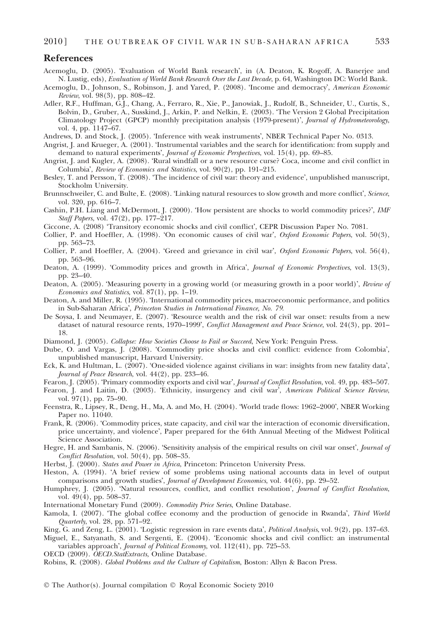## References

- Acemoglu, D. (2005). 'Evaluation of World Bank research', in (A. Deaton, K. Rogoff, A. Banerjee and N. Lustig, eds), Evaluation of World Bank Research Over the Last Decade, p. 64, Washington DC: World Bank.
- Acemoglu, D., Johnson, S., Robinson, J. and Yared, P. (2008). 'Income and democracy', American Economic Review, vol. 98(3), pp. 808–42.
- Adler, R.F., Huffman, G.J., Chang, A., Ferraro, R., Xie, P., Janowiak, J., Rudolf, B., Schneider, U., Curtis, S., Bolvin, D., Gruber, A., Susskind, J., Arkin, P. and Nelkin, E. (2003). The Version 2 Global Precipitation Climatology Project (GPCP) monthly precipitation analysis (1979-present)', Journal of Hydrometeorology, vol. 4, pp. 1147–67.
- Andrews, D. and Stock, J. (2005). 'Inference with weak instruments', NBER Technical Paper No. 0313.
- Angrist, J. and Krueger, A. (2001). Instrumental variables and the search for identification: from supply and demand to natural experiments', *Journal of Economic Perspectives*, vol. 15(4), pp. 69–85.
- Angrist, J. and Kugler, A. (2008). Rural windfall or a new resource curse? Coca, income and civil conflict in Columbia', *Review of Economics and Statistics*, vol. 90(2), pp. 191–215.
- Besley, T. and Persson, T. (2008). 'The incidence of civil war: theory and evidence', unpublished manuscript, Stockholm University.
- Brunnschweiler, C. and Bulte, E. (2008). 'Linking natural resources to slow growth and more conflict', Science, vol. 320, pp. 616–7.
- Cashin, P.H. Liang and McDermott, J. (2000). 'How persistent are shocks to world commodity prices?', IMF Staff Papers, vol. 47(2), pp. 177–217.
- Ciccone, A. (2008) Transitory economic shocks and civil conflict-, CEPR Discussion Paper No. 7081.
- Collier, P. and Hoeffler, A. (1998). 'On economic causes of civil war', *Oxford Economic Papers*, vol. 50(3), pp. 563–73.
- Collier, P. and Hoeffler, A. (2004). 'Greed and grievance in civil war', Oxford Economic Papers, vol. 56(4), pp. 563–96.
- Deaton, A. (1999). 'Commodity prices and growth in Africa', Journal of Economic Perspectives, vol. 13(3), pp. 23–40.
- Deaton, A. (2005). 'Measuring poverty in a growing world (or measuring growth in a poor world)', Review of Economics and Statistics, vol. 87(1), pp. 1–19.
- Deaton, A. and Miller, R. (1995). International commodity prices, macroeconomic performance, and politics in Sub-Saharan Africa', *Princeton Studies in International Finance, No. 79*.
- De Soysa, I. and Neumayer, E. (2007). Resource wealth and the risk of civil war onset: results from a new dataset of natural resource rents, 1970–1999', Conflict Management and Peace Science, vol. 24(3), pp. 201– 18.
- Diamond, J. (2005). Collapse: How Societies Choose to Fail or Succeed, New York: Penguin Press.
- Dube, O. and Vargas, J. (2008). 'Commodity price shocks and civil conflict: evidence from Colombia', unpublished manuscript, Harvard University.
- Eck, K. and Hultman, L. (2007). 'One-sided violence against civilians in war: insights from new fatality data', Journal of Peace Research, vol. 44(2), pp. 233–46.
- Fearon, J. (2005). 'Primary commodity exports and civil war', *Journal of Conflict Resolution*, vol. 49, pp. 483–507.
- Fearon, J. and Laitin, D. (2003). 'Ethnicity, insurgency and civil war', American Political Science Review, vol. 97(1), pp. 75–90.
- Feenstra, R., Lipsey, R., Deng, H., Ma, A. and Mo, H. (2004). 'World trade flows: 1962–2000', NBER Working Paper no. 11040.
- Frank, R. (2006). Commodity prices, state capacity, and civil war the interaction of economic diversification, price uncertainty, and violence', Paper prepared for the 64th Annual Meeting of the Midwest Political Science Association.
- Hegre, H. and Sambanis, N. (2006). 'Sensitivity analysis of the empirical results on civil war onset', *Journal of* Conflict Resolution, vol. 50(4), pp. 508–35.
- Herbst, J. (2000). States and Power in Africa, Princeton: Princeton University Press.
- Heston, A. (1994). A brief review of some problems using national accounts data in level of output comparisons and growth studies', Journal of Development Economics, vol. 44(6), pp. 29-52.
- Humphrey, J. (2005). 'Natural resources, conflict, and conflict resolution', Journal of Conflict Resolution, vol. 49(4), pp. 508–37.
- International Monetary Fund (2009). Commodity Price Series, Online Database.
- Kamola, I. (2007). 'The global coffee economy and the production of genocide in Rwanda', Third World Quarterly, vol. 28, pp. 571–92.
- King, G. and Zeng, L. (2001). 'Logistic regression in rare events data', *Political Analysis*, vol. 9(2), pp. 137–63. Miguel, E., Satyanath, S. and Sergenti, E. (2004). Economic shocks and civil conflict: an instrumental
- variables approach', *Journal of Political Economy*, vol. 112(41), pp. 725–53.
- OECD (2009). OECD.StatExtracts, Online Database.
- Robins, R. (2008). Global Problems and the Culture of Capitalism, Boston: Allyn & Bacon Press.